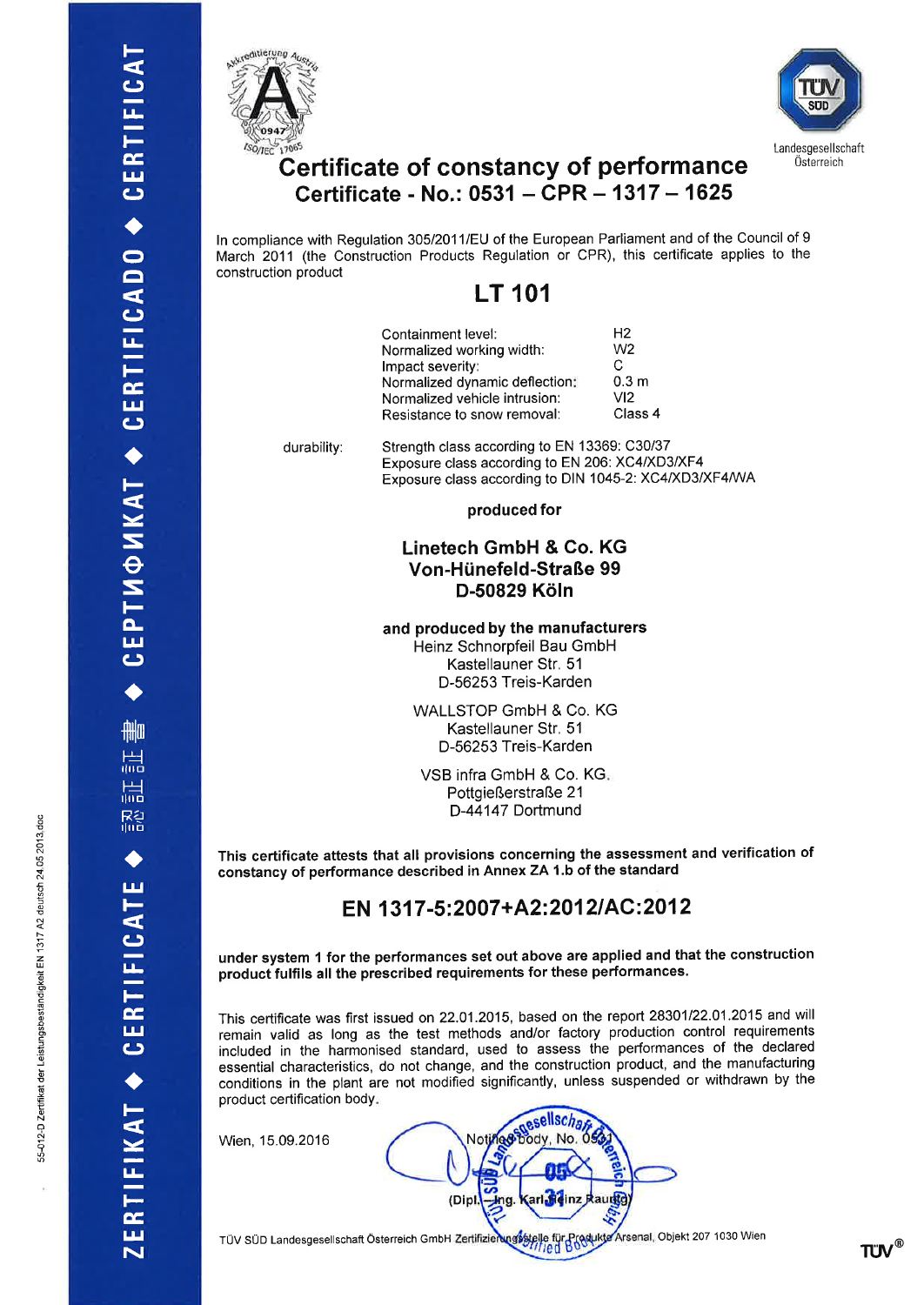o 9

N o N c 2 deu N .<br>⊡ indigkei

-012-D Zertifikat der Leistungsbes



t-

 $\bm{\mathsf{\omega}}$ t¡ F

 $\ddot{r}$  $\mathbf \omega$ a o  $\blacksquare$ 

 $\mathbf \omega$ I¡. F e e l¡J  $\mathbf \omega$ a l-

v S  $\overline{\Theta}$ S F ot¿J  $\mathbf \omega$ a

flrlm r<br>ali r<br>Fil

R원<br>Illia

 $\blacklozenge$ 

t¿¡ l-

CJ u, F

r<br>E  $\mathbf \omega$ a t-

v E l-

?<br>∑



# **of the constancy of performance** Certificate - No.: 0531 - CPR - 1317 - 1625

ln compliance with Regulation 305/2011/EU of the European Parliament and of the Council of 9 March 2011 (the Construction Products Regulation or CPR), this certificate applies to the construction product

## LT 101

|             | Containment level:                           | H2                                                                                                                                                        |  |
|-------------|----------------------------------------------|-----------------------------------------------------------------------------------------------------------------------------------------------------------|--|
|             | Normalized working width:                    | W <sub>2</sub>                                                                                                                                            |  |
|             | Impact severity:                             | С                                                                                                                                                         |  |
|             | Normalized dynamic deflection:               | 0.3 <sub>m</sub>                                                                                                                                          |  |
|             | Normalized vehicle intrusion:                | VI2                                                                                                                                                       |  |
|             | Resistance to snow removal:                  | Class 4                                                                                                                                                   |  |
| durability: |                                              | Strength class according to EN 13369: C30/37<br>Exposure class according to EN 206: XC4/XD3/XF4<br>Exposure class according to DIN 1045-2: XC4/XD3/XF4/WA |  |
|             | produced for                                 |                                                                                                                                                           |  |
|             | $l$ instead Cmh $\sqcup$ 8 Ca $\mathcal{IC}$ |                                                                                                                                                           |  |

#### Linetech GmbH & Go. KG Von-Hünefeld-Straße 99 D-50829 Köln

and produced by the manufacturers

Heinz Schnorpfeil Bau GmbH Kastellauner Str. 51 D-56253 Treis-Karden

WALLSTOP GmbH & Co. KG Kastellauner Str. 51 D-56253 Treis-Karden

VSB infra GmbH & Co. KG Pottgießerstraße 21 D-44147 Dortmund

This certificate attests that all provisions concerning the assessment and verification of constancy of performance described in Annex ZA 1.b of the standard

### EN 1317-5:2007+A2:2012/AC:2012

under system 1 for the performances set out above are applied and that the construction product fulfils all the prescribed requirements for these performances.

This certificate was first issued on 22.01.2015, based on the report 28301/22.01.2015 and will remain valid as long as the test methods and/or factory production control requirements included in the harmonised standard, used to assess the performances of the declared essential characteristics, do not change, and the construction product, and the manufacturing conditions in the plant are not modified significantly, unless suspended or withdrawn by the product certification body

Wien, 15.09.2016

N (Di aurid arl Heinz  $-mq$